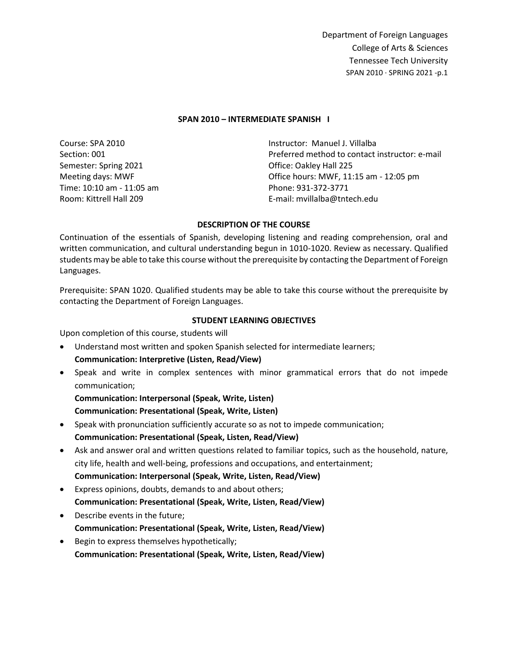#### **SPAN 2010 – INTERMEDIATE SPANISH I**

Course: SPA 2010 Section: 001 Semester: Spring 2021 Meeting days: MWF Time: 10:10 am - 11:05 am Room: Kittrell Hall 209 Instructor: Manuel J. Villalba Preferred method to contact instructor: e-mail Office: Oakley Hall 225 Office hours: MWF, 11:15 am - 12:05 pm Phone: 931-372-3771 E-mail: mvillalba@tntech.edu

### **DESCRIPTION OF THE COURSE**

Continuation of the essentials of Spanish, developing listening and reading comprehension, oral and written communication, and cultural understanding begun in 1010-1020. Review as necessary. Qualified students may be able to take this course without the prerequisite by contacting the Department of Foreign Languages.

Prerequisite: SPAN 1020. Qualified students may be able to take this course without the prerequisite by contacting the Department of Foreign Languages.

#### **STUDENT LEARNING OBJECTIVES**

Upon completion of this course, students will

- Understand most written and spoken Spanish selected for intermediate learners; **Communication: Interpretive (Listen, Read/View)**
- Speak and write in complex sentences with minor grammatical errors that do not impede communication;

**Communication: Interpersonal (Speak, Write, Listen) Communication: Presentational (Speak, Write, Listen)**

- Speak with pronunciation sufficiently accurate so as not to impede communication; **Communication: Presentational (Speak, Listen, Read/View)**
- Ask and answer oral and written questions related to familiar topics, such as the household, nature, city life, health and well-being, professions and occupations, and entertainment; **Communication: Interpersonal (Speak, Write, Listen, Read/View)**
- Express opinions, doubts, demands to and about others; **Communication: Presentational (Speak, Write, Listen, Read/View)**
- Describe events in the future; **Communication: Presentational (Speak, Write, Listen, Read/View)**
- Begin to express themselves hypothetically; **Communication: Presentational (Speak, Write, Listen, Read/View)**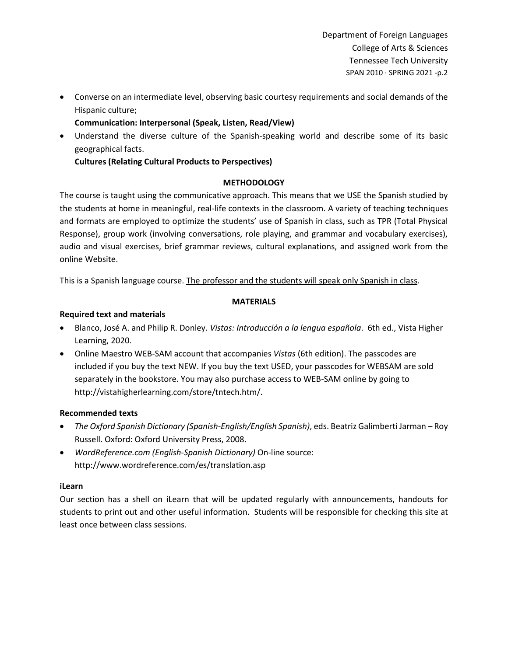• Converse on an intermediate level, observing basic courtesy requirements and social demands of the Hispanic culture;

**Communication: Interpersonal (Speak, Listen, Read/View)**

• Understand the diverse culture of the Spanish-speaking world and describe some of its basic geographical facts.

**Cultures (Relating Cultural Products to Perspectives)**

# **METHODOLOGY**

The course is taught using the communicative approach. This means that we USE the Spanish studied by the students at home in meaningful, real-life contexts in the classroom. A variety of teaching techniques and formats are employed to optimize the students' use of Spanish in class, such as TPR (Total Physical Response), group work (involving conversations, role playing, and grammar and vocabulary exercises), audio and visual exercises, brief grammar reviews, cultural explanations, and assigned work from the online Website.

This is a Spanish language course. The professor and the students will speak only Spanish in class.

## **MATERIALS**

## **Required text and materials**

- Blanco, José A. and Philip R. Donley. *Vistas: Introducción a la lengua española*. 6th ed., Vista Higher Learning, 2020.
- Online Maestro WEB-SAM account that accompanies *Vistas* (6th edition). The passcodes are included if you buy the text NEW. If you buy the text USED, your passcodes for WEBSAM are sold separately in the bookstore. You may also purchase access to WEB-SAM online by going to http://vistahigherlearning.com/store/tntech.htm/.

# **Recommended texts**

- *The Oxford Spanish Dictionary (Spanish-English/English Spanish)*, eds. Beatriz Galimberti Jarman Roy Russell. Oxford: Oxford University Press, 2008.
- *WordReference.com (English-Spanish Dictionary)* On-line source: http://www.wordreference.com/es/translation.asp

### **iLearn**

Our section has a shell on iLearn that will be updated regularly with announcements, handouts for students to print out and other useful information. Students will be responsible for checking this site at least once between class sessions.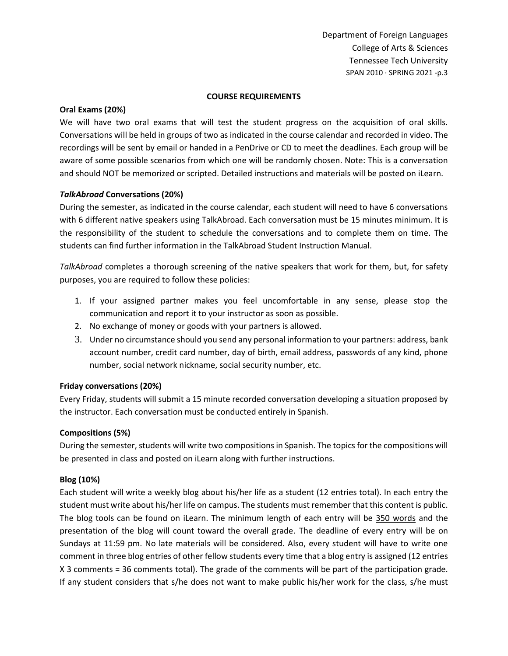#### **COURSE REQUIREMENTS**

#### **Oral Exams (20%)**

We will have two oral exams that will test the student progress on the acquisition of oral skills. Conversations will be held in groups of two as indicated in the course calendar and recorded in video. The recordings will be sent by email or handed in a PenDrive or CD to meet the deadlines. Each group will be aware of some possible scenarios from which one will be randomly chosen. Note: This is a conversation and should NOT be memorized or scripted. Detailed instructions and materials will be posted on iLearn.

#### *TalkAbroad* **Conversations (20%)**

During the semester, as indicated in the course calendar, each student will need to have 6 conversations with 6 different native speakers using TalkAbroad. Each conversation must be 15 minutes minimum. It is the responsibility of the student to schedule the conversations and to complete them on time. The students can find further information in the TalkAbroad Student Instruction Manual.

*TalkAbroad* completes a thorough screening of the native speakers that work for them, but, for safety purposes, you are required to follow these policies:

- 1. If your assigned partner makes you feel uncomfortable in any sense, please stop the communication and report it to your instructor as soon as possible.
- 2. No exchange of money or goods with your partners is allowed.
- 3. Under no circumstance should you send any personal information to your partners: address, bank account number, credit card number, day of birth, email address, passwords of any kind, phone number, social network nickname, social security number, etc.

### **Friday conversations (20%)**

Every Friday, students will submit a 15 minute recorded conversation developing a situation proposed by the instructor. Each conversation must be conducted entirely in Spanish.

### **Compositions (5%)**

During the semester, students will write two compositions in Spanish. The topics for the compositions will be presented in class and posted on iLearn along with further instructions.

### **Blog (10%)**

Each student will write a weekly blog about his/her life as a student (12 entries total). In each entry the student must write about his/her life on campus. The students must remember that this content is public. The blog tools can be found on iLearn. The minimum length of each entry will be 350 words and the presentation of the blog will count toward the overall grade. The deadline of every entry will be on Sundays at 11:59 pm. No late materials will be considered. Also, every student will have to write one comment in three blog entries of other fellow students every time that a blog entry is assigned (12 entries X 3 comments = 36 comments total). The grade of the comments will be part of the participation grade. If any student considers that s/he does not want to make public his/her work for the class, s/he must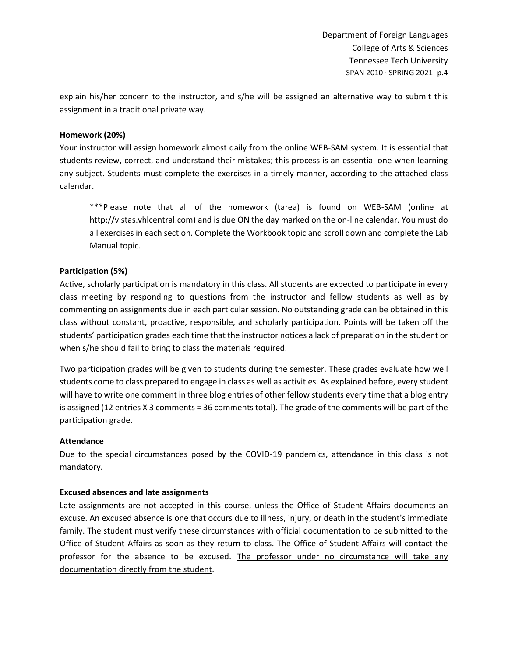explain his/her concern to the instructor, and s/he will be assigned an alternative way to submit this assignment in a traditional private way.

## **Homework (20%)**

Your instructor will assign homework almost daily from the online WEB-SAM system. It is essential that students review, correct, and understand their mistakes; this process is an essential one when learning any subject. Students must complete the exercises in a timely manner, according to the attached class calendar.

\*\*\*Please note that all of the homework (tarea) is found on WEB-SAM (online at http://vistas.vhlcentral.com) and is due ON the day marked on the on-line calendar. You must do all exercises in each section. Complete the Workbook topic and scroll down and complete the Lab Manual topic.

## **Participation (5%)**

Active, scholarly participation is mandatory in this class. All students are expected to participate in every class meeting by responding to questions from the instructor and fellow students as well as by commenting on assignments due in each particular session. No outstanding grade can be obtained in this class without constant, proactive, responsible, and scholarly participation. Points will be taken off the students' participation grades each time that the instructor notices a lack of preparation in the student or when s/he should fail to bring to class the materials required.

Two participation grades will be given to students during the semester. These grades evaluate how well students come to class prepared to engage in class as well as activities. As explained before, every student will have to write one comment in three blog entries of other fellow students every time that a blog entry is assigned (12 entries X 3 comments = 36 comments total). The grade of the comments will be part of the participation grade.

### **Attendance**

Due to the special circumstances posed by the COVID-19 pandemics, attendance in this class is not mandatory.

### **Excused absences and late assignments**

Late assignments are not accepted in this course, unless the Office of Student Affairs documents an excuse. An excused absence is one that occurs due to illness, injury, or death in the student's immediate family. The student must verify these circumstances with official documentation to be submitted to the Office of Student Affairs as soon as they return to class. The Office of Student Affairs will contact the professor for the absence to be excused. The professor under no circumstance will take any documentation directly from the student.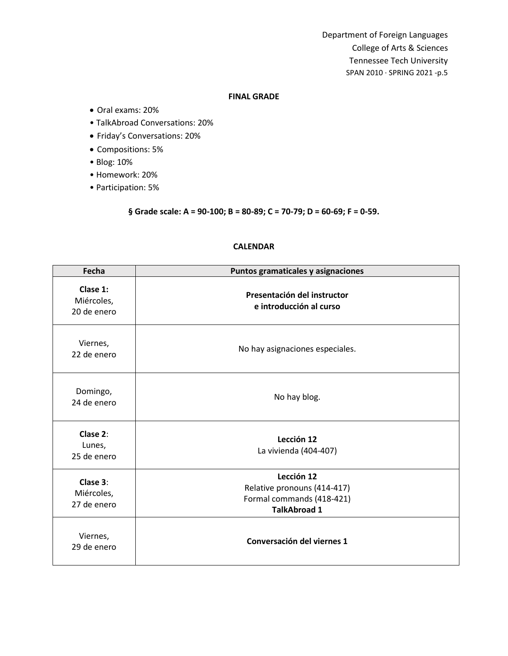#### **FINAL GRADE**

- Oral exams: 20%
- TalkAbroad Conversations: 20%
- Friday's Conversations: 20%
- Compositions: 5%
- Blog: 10%
- Homework: 20%
- Participation: 5%

# **§ Grade scale: A = 90‐100; B = 80‐89; C = 70‐79; D = 60‐69; F = 0‐59.**

| Fecha                                 | Puntos gramaticales y asignaciones                                                            |
|---------------------------------------|-----------------------------------------------------------------------------------------------|
| Clase 1:<br>Miércoles,<br>20 de enero | Presentación del instructor<br>e introducción al curso                                        |
| Viernes,<br>22 de enero               | No hay asignaciones especiales.                                                               |
| Domingo,<br>24 de enero               | No hay blog.                                                                                  |
| Clase 2:<br>Lunes,<br>25 de enero     | Lección 12<br>La vivienda (404-407)                                                           |
| Clase 3:<br>Miércoles,<br>27 de enero | Lección 12<br>Relative pronouns (414-417)<br>Formal commands (418-421)<br><b>TalkAbroad 1</b> |
| Viernes,<br>29 de enero               | Conversación del viernes 1                                                                    |

## **CALENDAR**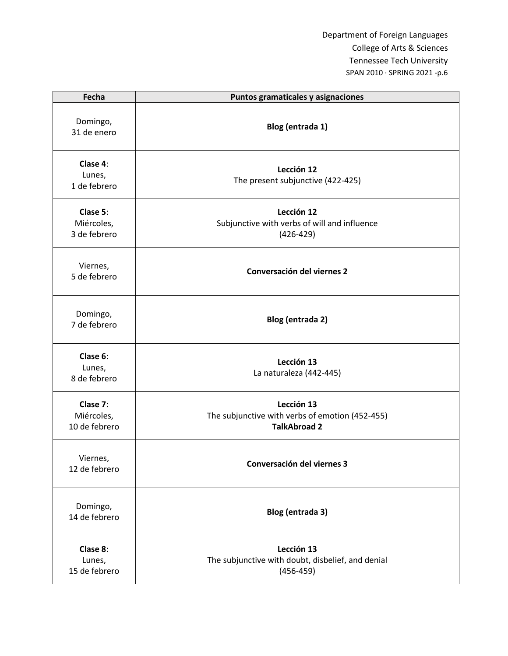| Fecha                                   | Puntos gramaticales y asignaciones                                                   |
|-----------------------------------------|--------------------------------------------------------------------------------------|
| Domingo,<br>31 de enero                 | Blog (entrada 1)                                                                     |
| Clase 4:<br>Lunes,<br>1 de febrero      | Lección 12<br>The present subjunctive (422-425)                                      |
| Clase 5:<br>Miércoles,<br>3 de febrero  | Lección 12<br>Subjunctive with verbs of will and influence<br>$(426 - 429)$          |
| Viernes,<br>5 de febrero                | Conversación del viernes 2                                                           |
| Domingo,<br>7 de febrero                | Blog (entrada 2)                                                                     |
| Clase 6:<br>Lunes,<br>8 de febrero      | Lección 13<br>La naturaleza (442-445)                                                |
| Clase 7:<br>Miércoles,<br>10 de febrero | Lección 13<br>The subjunctive with verbs of emotion (452-455)<br><b>TalkAbroad 2</b> |
| Viernes,<br>12 de febrero               | Conversación del viernes 3                                                           |
| Domingo,<br>14 de febrero               | Blog (entrada 3)                                                                     |
| Clase 8:<br>Lunes,<br>15 de febrero     | Lección 13<br>The subjunctive with doubt, disbelief, and denial<br>$(456 - 459)$     |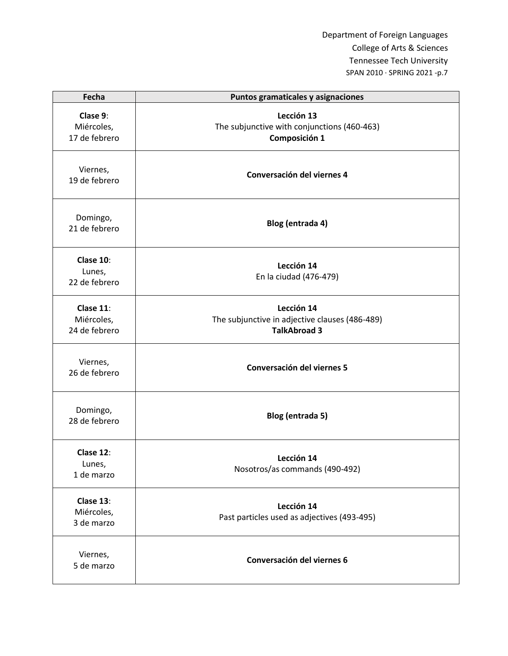| Fecha                                    | Puntos gramaticales y asignaciones                                                  |
|------------------------------------------|-------------------------------------------------------------------------------------|
| Clase 9:<br>Miércoles,<br>17 de febrero  | Lección 13<br>The subjunctive with conjunctions (460-463)<br>Composición 1          |
| Viernes,<br>19 de febrero                | Conversación del viernes 4                                                          |
| Domingo,<br>21 de febrero                | Blog (entrada 4)                                                                    |
| Clase 10:<br>Lunes,<br>22 de febrero     | Lección 14<br>En la ciudad (476-479)                                                |
| Clase 11:<br>Miércoles,<br>24 de febrero | Lección 14<br>The subjunctive in adjective clauses (486-489)<br><b>TalkAbroad 3</b> |
| Viernes,<br>26 de febrero                | Conversación del viernes 5                                                          |
| Domingo,<br>28 de febrero                | Blog (entrada 5)                                                                    |
| Clase 12:<br>Lunes,<br>1 de marzo        | Lección 14<br>Nosotros/as commands (490-492)                                        |
| Clase 13:<br>Miércoles,<br>3 de marzo    | Lección 14<br>Past particles used as adjectives (493-495)                           |
| Viernes,<br>5 de marzo                   | Conversación del viernes 6                                                          |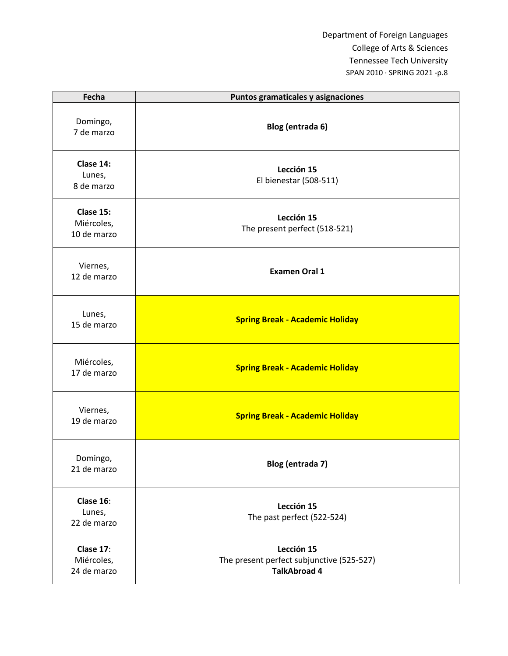| Fecha                                  | Puntos gramaticales y asignaciones                                             |
|----------------------------------------|--------------------------------------------------------------------------------|
| Domingo,<br>7 de marzo                 | Blog (entrada 6)                                                               |
| Clase 14:<br>Lunes,<br>8 de marzo      | Lección 15<br>El bienestar (508-511)                                           |
| Clase 15:<br>Miércoles,<br>10 de marzo | Lección 15<br>The present perfect (518-521)                                    |
| Viernes,<br>12 de marzo                | <b>Examen Oral 1</b>                                                           |
| Lunes,<br>15 de marzo                  | <b>Spring Break - Academic Holiday</b>                                         |
| Miércoles,<br>17 de marzo              | <b>Spring Break - Academic Holiday</b>                                         |
| Viernes,<br>19 de marzo                | <b>Spring Break - Academic Holiday</b>                                         |
| Domingo,<br>21 de marzo                | Blog (entrada 7)                                                               |
| Clase 16:<br>Lunes,<br>22 de marzo     | Lección 15<br>The past perfect (522-524)                                       |
| Clase 17:<br>Miércoles,<br>24 de marzo | Lección 15<br>The present perfect subjunctive (525-527)<br><b>TalkAbroad 4</b> |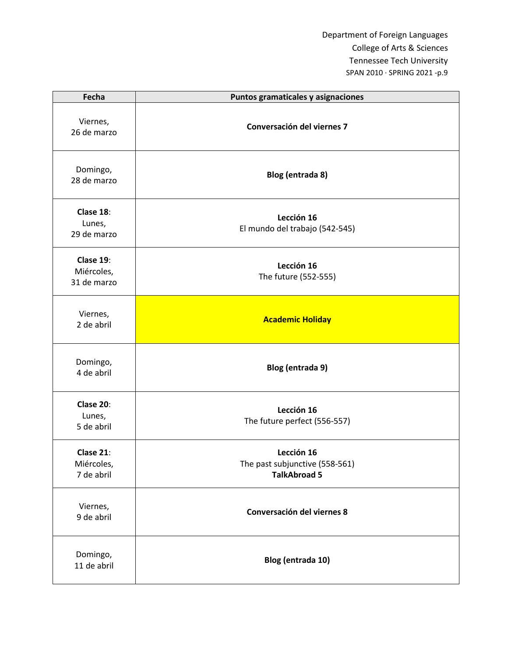| Fecha                                  | Puntos gramaticales y asignaciones                                  |
|----------------------------------------|---------------------------------------------------------------------|
| Viernes,<br>26 de marzo                | Conversación del viernes 7                                          |
| Domingo,<br>28 de marzo                | Blog (entrada 8)                                                    |
| Clase 18:<br>Lunes,<br>29 de marzo     | Lección 16<br>El mundo del trabajo (542-545)                        |
| Clase 19:<br>Miércoles,<br>31 de marzo | Lección 16<br>The future (552-555)                                  |
| Viernes,<br>2 de abril                 | <b>Academic Holiday</b>                                             |
| Domingo,<br>4 de abril                 | Blog (entrada 9)                                                    |
| Clase 20:<br>Lunes,<br>5 de abril      | Lección 16<br>The future perfect (556-557)                          |
| Clase 21:<br>Miércoles,<br>7 de abril  | Lección 16<br>The past subjunctive (558-561)<br><b>TalkAbroad 5</b> |
| Viernes,<br>9 de abril                 | Conversación del viernes 8                                          |
| Domingo,<br>11 de abril                | Blog (entrada 10)                                                   |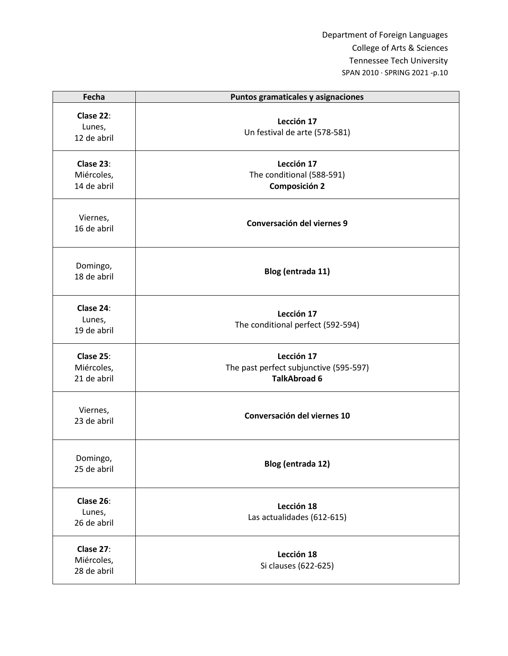| Fecha                                  | Puntos gramaticales y asignaciones                                          |
|----------------------------------------|-----------------------------------------------------------------------------|
| Clase 22:<br>Lunes,<br>12 de abril     | Lección 17<br>Un festival de arte (578-581)                                 |
| Clase 23:<br>Miércoles,<br>14 de abril | Lección 17<br>The conditional (588-591)<br><b>Composición 2</b>             |
| Viernes,<br>16 de abril                | Conversación del viernes 9                                                  |
| Domingo,<br>18 de abril                | Blog (entrada 11)                                                           |
| Clase 24:<br>Lunes,<br>19 de abril     | Lección 17<br>The conditional perfect (592-594)                             |
| Clase 25:<br>Miércoles,<br>21 de abril | Lección 17<br>The past perfect subjunctive (595-597)<br><b>TalkAbroad 6</b> |
| Viernes,<br>23 de abril                | Conversación del viernes 10                                                 |
| Domingo,<br>25 de abril                | Blog (entrada 12)                                                           |
| Clase 26:<br>Lunes,<br>26 de abril     | Lección 18<br>Las actualidades (612-615)                                    |
| Clase 27:<br>Miércoles,<br>28 de abril | Lección 18<br>Si clauses (622-625)                                          |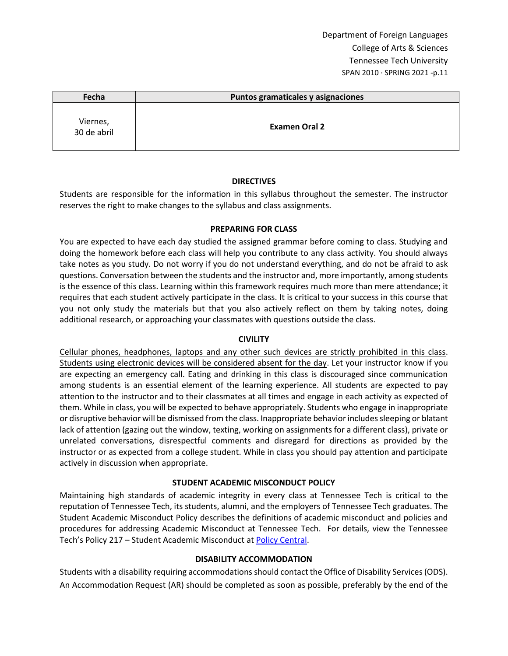| Fecha                   | Puntos gramaticales y asignaciones |
|-------------------------|------------------------------------|
| Viernes,<br>30 de abril | <b>Examen Oral 2</b>               |

### **DIRECTIVES**

Students are responsible for the information in this syllabus throughout the semester. The instructor reserves the right to make changes to the syllabus and class assignments.

### **PREPARING FOR CLASS**

You are expected to have each day studied the assigned grammar before coming to class. Studying and doing the homework before each class will help you contribute to any class activity. You should always take notes as you study. Do not worry if you do not understand everything, and do not be afraid to ask questions. Conversation between the students and the instructor and, more importantly, among students is the essence of this class. Learning within this framework requires much more than mere attendance; it requires that each student actively participate in the class. It is critical to your success in this course that you not only study the materials but that you also actively reflect on them by taking notes, doing additional research, or approaching your classmates with questions outside the class.

### **CIVILITY**

Cellular phones, headphones, laptops and any other such devices are strictly prohibited in this class. Students using electronic devices will be considered absent for the day. Let your instructor know if you are expecting an emergency call. Eating and drinking in this class is discouraged since communication among students is an essential element of the learning experience. All students are expected to pay attention to the instructor and to their classmates at all times and engage in each activity as expected of them. While in class, you will be expected to behave appropriately. Students who engage in inappropriate or disruptive behavior will be dismissed from the class. Inappropriate behavior includes sleeping or blatant lack of attention (gazing out the window, texting, working on assignments for a different class), private or unrelated conversations, disrespectful comments and disregard for directions as provided by the instructor or as expected from a college student. While in class you should pay attention and participate actively in discussion when appropriate.

# **STUDENT ACADEMIC MISCONDUCT POLICY**

Maintaining high standards of academic integrity in every class at Tennessee Tech is critical to the reputation of Tennessee Tech, its students, alumni, and the employers of Tennessee Tech graduates. The Student Academic Misconduct Policy describes the definitions of academic misconduct and policies and procedures for addressing Academic Misconduct at Tennessee Tech. For details, view the Tennessee Tech's Policy 217 – Student Academic Misconduct a[t Policy Central.](https://tntech.policytech.com/dotNet/noAuth/login.aspx?ReturnUrl=%2fDefault.aspx%3fauto%3dfalse&auto=false&public=true)

# **DISABILITY ACCOMMODATION**

Students with a disability requiring accommodations should contact the Office of Disability Services (ODS). An Accommodation Request (AR) should be completed as soon as possible, preferably by the end of the